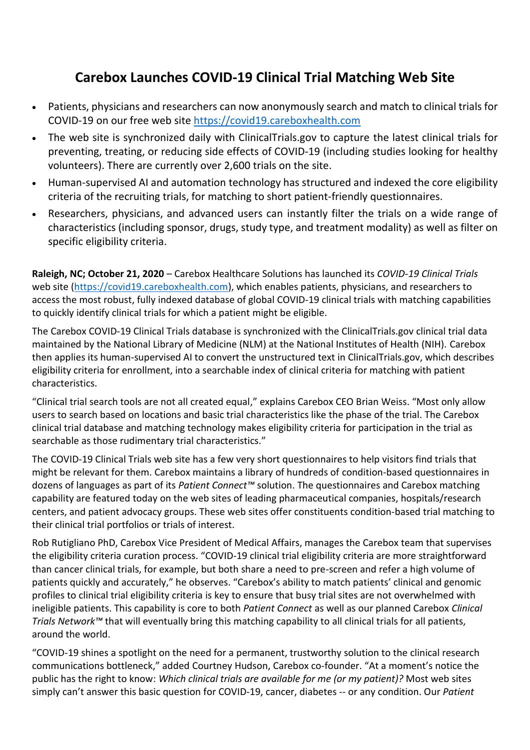## **Carebox Launches COVID-19 Clinical Trial Matching Web Site**

- Patients, physicians and researchers can now anonymously search and match to clinical trials for COVID-19 on our free web site [https://covid19.careboxhealth.com](https://covid19.careboxhealth.com/)
- The web site is synchronized daily with ClinicalTrials.gov to capture the latest clinical trials for preventing, treating, or reducing side effects of COVID-19 (including studies looking for healthy volunteers). There are currently over 2,600 trials on the site.
- Human-supervised AI and automation technology has structured and indexed the core eligibility criteria of the recruiting trials, for matching to short patient-friendly questionnaires.
- Researchers, physicians, and advanced users can instantly filter the trials on a wide range of characteristics (including sponsor, drugs, study type, and treatment modality) as well as filter on specific eligibility criteria.

**Raleigh, NC; October 21, 2020** – Carebox Healthcare Solutions has launched its *COVID-19 Clinical Trials* web site [\(https://covid19.careboxhealth.com\)](https://covid19.careboxhealth.com/), which enables patients, physicians, and researchers to access the most robust, fully indexed database of global COVID-19 clinical trials with matching capabilities to quickly identify clinical trials for which a patient might be eligible.

The Carebox COVID-19 Clinical Trials database is synchronized with the ClinicalTrials.gov clinical trial data maintained by the National Library of Medicine (NLM) at the National Institutes of Health (NIH). Carebox then applies its human-supervised AI to convert the unstructured text in ClinicalTrials.gov, which describes eligibility criteria for enrollment, into a searchable index of clinical criteria for matching with patient characteristics.

"Clinical trial search tools are not all created equal," explains Carebox CEO Brian Weiss. "Most only allow users to search based on locations and basic trial characteristics like the phase of the trial. The Carebox clinical trial database and matching technology makes eligibility criteria for participation in the trial as searchable as those rudimentary trial characteristics."

The COVID-19 Clinical Trials web site has a few very short questionnaires to help visitors find trials that might be relevant for them. Carebox maintains a library of hundreds of condition-based questionnaires in dozens of languages as part of its *Patient Connect™* solution. The questionnaires and Carebox matching capability are featured today on the web sites of leading pharmaceutical companies, hospitals/research centers, and patient advocacy groups. These web sites offer constituents condition-based trial matching to their clinical trial portfolios or trials of interest.

Rob Rutigliano PhD, Carebox Vice President of Medical Affairs, manages the Carebox team that supervises the eligibility criteria curation process. "COVID-19 clinical trial eligibility criteria are more straightforward than cancer clinical trials, for example, but both share a need to pre-screen and refer a high volume of patients quickly and accurately," he observes. "Carebox's ability to match patients' clinical and genomic profiles to clinical trial eligibility criteria is key to ensure that busy trial sites are not overwhelmed with ineligible patients. This capability is core to both *Patient Connect* as well as our planned Carebox *Clinical Trials Network™* that will eventually bring this matching capability to all clinical trials for all patients, around the world.

"COVID-19 shines a spotlight on the need for a permanent, trustworthy solution to the clinical research communications bottleneck," added Courtney Hudson, Carebox co-founder. "At a moment's notice the public has the right to know: *Which clinical trials are available for me (or my patient)?* Most web sites simply can't answer this basic question for COVID-19, cancer, diabetes -- or any condition. Our *Patient*